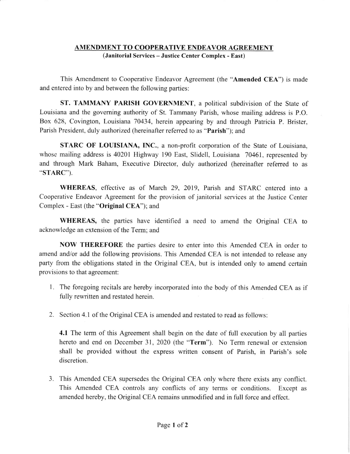## AMENDMENT TO COOPERATIVE ENDEAVOR AGREEMENT (Janitorial Services - Justice Center Complex - East)

This Amendment to Cooperative Endeavor Agreement (the "Amended CEA") is made and entered into by and between the following parties:

ST. TAMMANY PARISH GOVERNMENT, a political subdivision of the State of Louisiana and the goveming authority of St. Tammany Parish, whose mailing address is P.O. Box 628, Covington, Louisiana 70434, herein appearing by and through Patricia P. Brister, Parish President, duly authorized (hereinafter referred to as "Parish"); and

STARC OF LOUISIANA, INC., a non-profit corporation of the State of Louisiana, whose mailing address is 40201 Highway 190 East, Slidell, Louisiana 70461, represented by and through Mark Baham, Executive Director. duly authorized (hereinafter referred to as "STARC').

WHEREAS, effective as of March 29, 2019, Parish and STARC entered into <sup>a</sup> Cooperative Endeavor Agreement for the provision of janitorial services at the Justice Center Complex - East (the "Original CEA"); and

WHEREAS, the parties have identified a need to amend the Original CEA to acknowledge an extension of the Term; and

NOW THEREFORE the parties desire to enter into this Amended CEA in order to amend and/or add the following provisions. This Amended CEA is not intended to release any party from the obligations stated in the Original CEA, but is intended only to amend certain provisions to that agreement:

- l. The foregoing recitals are hereby incorporated into the body of this Amended CEA as if fully rewritten and restated herein.
- 2. Section 4.1 of the Original CEA is amended and restated to read as follows:

4.1 The term of this Agreement shall begin on the date of full execution by all parties hereto and end on December 31, 2020 (the "Term"). No Term renewal or extension shall be provided without the express written consent of Parish, in Parish's sole discretion.

3. This Amended CEA supersedes the Original CEA only where there exists any conflict. This Amended CEA controls any conflicts of any terms or conditions. Except as amended hereby, the Original CEA remains unmodified and in full force and effect.